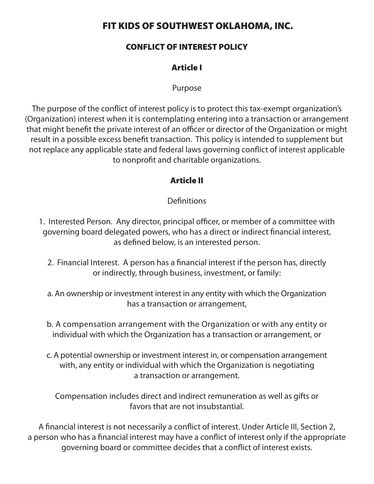## FIT KIDS OF SOUTHWEST OKLAHOMA, INC.

#### CONFLICT OF INTEREST POLICY

### Article I

Purpose

The purpose of the conflict of interest policy is to protect this tax-exempt organization's (Organization) interest when it is contemplating entering into a transaction or arrangement that might benefit the private interest of an officer or director of the Organization or might result in a possible excess benefit transaction. This policy is intended to supplement but not replace any applicable state and federal laws governing conflict of interest applicable to nonprofit and charitable organizations.

#### Article II

#### **Definitions**

- 1. Interested Person. Any director, principal officer, or member of a committee with governing board delegated powers, who has a direct or indirect financial interest, as defined below, is an interested person.
	- 2. Financial Interest. A person has a financial interest if the person has, directly or indirectly, through business, investment, or family:
	- a. An ownership or investment interest in any entity with which the Organization has a transaction or arrangement,
	- b. A compensation arrangement with the Organization or with any entity or individual with which the Organization has a transaction or arrangement, or
	- c. A potential ownership or investment interest in, or compensation arrangement with, any entity or individual with which the Organization is negotiating a transaction or arrangement.

Compensation includes direct and indirect remuneration as well as gifts or favors that are not insubstantial.

A financial interest is not necessarily a conflict of interest. Under Article III, Section 2, a person who has a financial interest may have a conflict of interest only if the appropriate governing board or committee decides that a conflict of interest exists.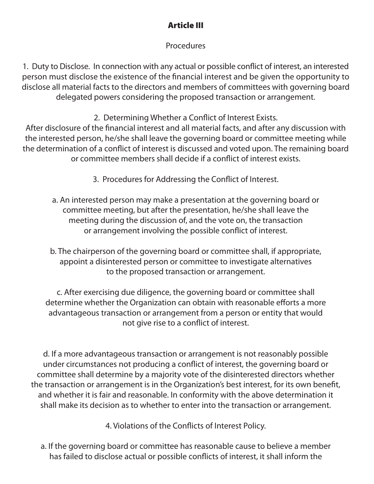# Article III

## Procedures

1. Duty to Disclose. In connection with any actual or possible conflict of interest, an interested person must disclose the existence of the financial interest and be given the opportunity to disclose all material facts to the directors and members of committees with governing board delegated powers considering the proposed transaction or arrangement.

2. Determining Whether a Conflict of Interest Exists.

After disclosure of the financial interest and all material facts, and after any discussion with the interested person, he/she shall leave the governing board or committee meeting while the determination of a conflict of interest is discussed and voted upon. The remaining board or committee members shall decide if a conflict of interest exists.

- 3. Procedures for Addressing the Conflict of Interest.
- a. An interested person may make a presentation at the governing board or committee meeting, but after the presentation, he/she shall leave the meeting during the discussion of, and the vote on, the transaction or arrangement involving the possible conflict of interest.
- b. The chairperson of the governing board or committee shall, if appropriate, appoint a disinterested person or committee to investigate alternatives to the proposed transaction or arrangement.

c. After exercising due diligence, the governing board or committee shall determine whether the Organization can obtain with reasonable efforts a more advantageous transaction or arrangement from a person or entity that would not give rise to a conflict of interest.

d. If a more advantageous transaction or arrangement is not reasonably possible under circumstances not producing a conflict of interest, the governing board or committee shall determine by a majority vote of the disinterested directors whether the transaction or arrangement is in the Organization's best interest, for its own benefit, and whether it is fair and reasonable. In conformity with the above determination it shall make its decision as to whether to enter into the transaction or arrangement.

4. Violations of the Conflicts of Interest Policy.

a. If the governing board or committee has reasonable cause to believe a member has failed to disclose actual or possible conflicts of interest, it shall inform the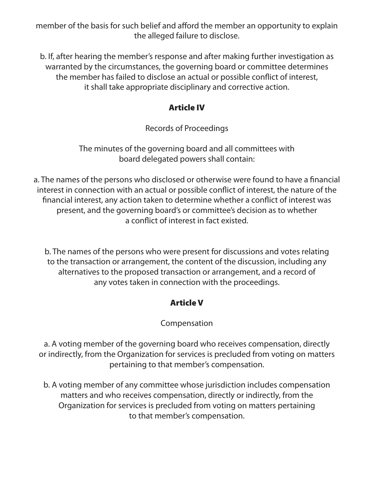member of the basis for such belief and afford the member an opportunity to explain the alleged failure to disclose.

b. If, after hearing the member's response and after making further investigation as warranted by the circumstances, the governing board or committee determines the member has failed to disclose an actual or possible conflict of interest, it shall take appropriate disciplinary and corrective action.

### Article IV

Records of Proceedings

The minutes of the governing board and all committees with board delegated powers shall contain:

a. The names of the persons who disclosed or otherwise were found to have a financial interest in connection with an actual or possible conflict of interest, the nature of the financial interest, any action taken to determine whether a conflict of interest was present, and the governing board's or committee's decision as to whether a conflict of interest in fact existed.

b. The names of the persons who were present for discussions and votes relating to the transaction or arrangement, the content of the discussion, including any alternatives to the proposed transaction or arrangement, and a record of any votes taken in connection with the proceedings.

# Article V

## Compensation

a. A voting member of the governing board who receives compensation, directly or indirectly, from the Organization for services is precluded from voting on matters pertaining to that member's compensation.

b. A voting member of any committee whose jurisdiction includes compensation matters and who receives compensation, directly or indirectly, from the Organization for services is precluded from voting on matters pertaining to that member's compensation.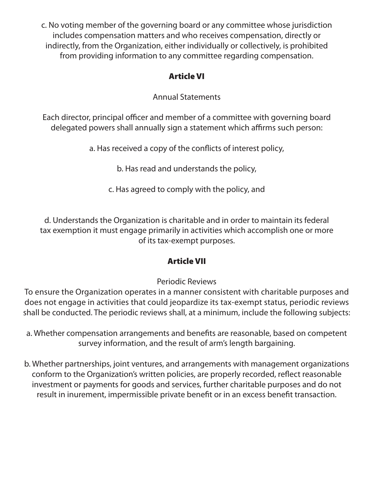c. No voting member of the governing board or any committee whose jurisdiction includes compensation matters and who receives compensation, directly or indirectly, from the Organization, either individually or collectively, is prohibited from providing information to any committee regarding compensation.

## Article VI

Annual Statements

Each director, principal officer and member of a committee with governing board delegated powers shall annually sign a statement which affirms such person:

a. Has received a copy of the conflicts of interest policy,

b. Has read and understands the policy,

c. Has agreed to comply with the policy, and

d. Understands the Organization is charitable and in order to maintain its federal tax exemption it must engage primarily in activities which accomplish one or more of its tax-exempt purposes.

# Article VII

# Periodic Reviews

To ensure the Organization operates in a manner consistent with charitable purposes and does not engage in activities that could jeopardize its tax-exempt status, periodic reviews shall be conducted. The periodic reviews shall, at a minimum, include the following subjects:

a. Whether compensation arrangements and benefits are reasonable, based on competent survey information, and the result of arm's length bargaining.

b. Whether partnerships, joint ventures, and arrangements with management organizations conform to the Organization's written policies, are properly recorded, reflect reasonable investment or payments for goods and services, further charitable purposes and do not result in inurement, impermissible private benefit or in an excess benefit transaction.